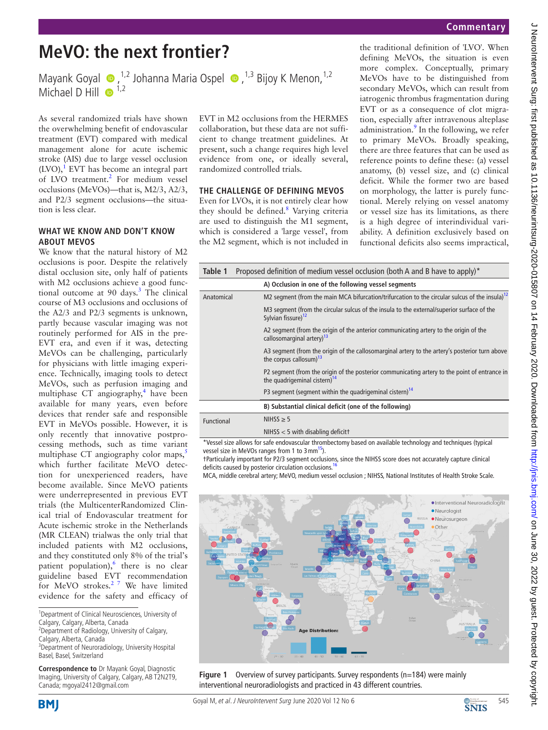# **MeVO: the next frontier?**

MayankGoyal  $\bullet$ ,<sup>1,2</sup> Johanna Maria Ospel  $\bullet$ ,<sup>1,3</sup> Bijoy K Menon,<sup>1,2</sup> Michael D Hill  $\bullet$ <sup>1,2</sup>

As several randomized trials have shown the overwhelming benefit of endovascular treatment (EVT) compared with medical management alone for acute ischemic stroke (AIS) due to large vessel occlusion  $(LVO),<sup>1</sup>$  EVT has become an integral part of LVO treatment.<sup>2</sup> For medium vessel occlusions (MeVOs)—that is, M2/3, A2/3, and P2/3 segment occlusions—the situation is less clear.

#### **What we know and don't know about MeVOs**

We know that the natural history of M2 occlusions is poor. Despite the relatively distal occlusion site, only half of patients with M2 occlusions achieve a good functional outcome at 90 days. $3$  The clinical course of M3 occlusions and occlusions of the A2/3 and P2/3 segments is unknown, partly because vascular imaging was not routinely performed for AIS in the pre-EVT era, and even if it was, detecting MeVOs can be challenging, particularly for physicians with little imaging experience. Technically, imaging tools to detect MeVOs, such as perfusion imaging and multiphase CT angiography,<sup>4</sup> have been available for many years, even before devices that render safe and responsible EVT in MeVOs possible. However, it is only recently that innovative postprocessing methods, such as time variant multiphase CT angiography color maps,<sup>[5](#page-2-4)</sup> which further facilitate MeVO detection for unexperienced readers, have become available. Since MeVO patients were underrepresented in previous EVT trials (the MulticenterRandomized Clinical trial of Endovascular treatment for Acute ischemic stroke in the Netherlands (MR CLEAN) trialwas the only trial that included patients with M2 occlusions, and they constituted only 8% of the trial's patient population), $6$  there is no clear guideline based EVT recommendation for MeVO strokes.<sup>2 7</sup> We have limited evidence for the safety and efficacy of

1 Department of Clinical Neurosciences, University of Calgary, Calgary, Alberta, Canada

2 Department of Radiology, University of Calgary,

Calgary, Alberta, Canada

<sup>3</sup>Department of Neuroradiology, University Hospital Basel, Basel, Switzerland

**Correspondence to** Dr Mayank Goyal, Diagnostic Imaging, University of Calgary, Calgary, AB T2N2T9, Canada; mgoyal2412@gmail.com

EVT in M2 occlusions from the HERMES collaboration, but these data are not sufficient to change treatment guidelines. At present, such a change requires high level evidence from one, or ideally several, randomized controlled trials.

## **The challenge of defining MeVOs**

Even for LVOs, it is not entirely clear how they should be defined.<sup>[8](#page-2-6)</sup> Varying criteria are used to distinguish the M1 segment, which is considered a 'large vessel', from the M2 segment, which is not included in

the traditional definition of 'LVO'. When defining MeVOs, the situation is even more complex. Conceptually, primary MeVOs have to be distinguished from secondary MeVOs, which can result from iatrogenic thrombus fragmentation during EVT or as a consequence of clot migration, especially after intravenous alteplase administration.<sup>[9](#page-2-7)</sup> In the following, we refer to primary MeVOs. Broadly speaking, there are three features that can be used as reference points to define these: (a) vessel anatomy, (b) vessel size, and (c) clinical deficit. While the former two are based on morphology, the latter is purely functional. Merely relying on vessel anatomy or vessel size has its limitations, as there is a high degree of interindividual variability. A definition exclusively based on functional deficits also seems impractical,

<span id="page-0-0"></span>

| Table 1                                              | Proposed definition of medium vessel occlusion (both A and B have to apply)*                                                              |  |  |
|------------------------------------------------------|-------------------------------------------------------------------------------------------------------------------------------------------|--|--|
| A) Occlusion in one of the following vessel segments |                                                                                                                                           |  |  |
| Anatomical                                           | M2 segment (from the main MCA bifurcation/trifurcation to the circular sulcus of the insula) <sup>12</sup>                                |  |  |
|                                                      | M3 segment (from the circular sulcus of the insula to the external/superior surface of the<br>Sylvian fissure) <sup>12</sup>              |  |  |
|                                                      | A2 segment (from the origin of the anterior communicating artery to the origin of the<br>callosomarginal artery) <sup>13</sup>            |  |  |
|                                                      | A3 segment (from the origin of the callosomarginal artery to the artery's posterior turn above<br>the corpus callosum) <sup>13</sup>      |  |  |
|                                                      | P2 segment (from the origin of the posterior communicating artery to the point of entrance in<br>the quadrigeminal cistern) <sup>14</sup> |  |  |
|                                                      | P3 segment (segment within the quadrigeminal cistern) <sup>14</sup>                                                                       |  |  |
|                                                      | B) Substantial clinical deficit (one of the following)                                                                                    |  |  |
| Functional                                           | NIHSS $\geq$ 5                                                                                                                            |  |  |
|                                                      | NIHSS $<$ 5 with disabling deficitt                                                                                                       |  |  |

\*Vessel size allows for safe endovascular thrombectomy based on available technology and techniques (typical vessel size in MeVOs ranges from 1 to 3 mm<sup>[15](#page-2-11)</sup>).

†Particularly important for P2/3 segment occlusions, since the NIHSS score does not accurately capture clinical deficits caused by posterior circulation occlusions.<sup>1</sup>

MCA, middle cerebral artery; MeVO, medium vessel occlusion ; NIHSS, National Institutes of Health Stroke Scale.



<span id="page-0-1"></span>



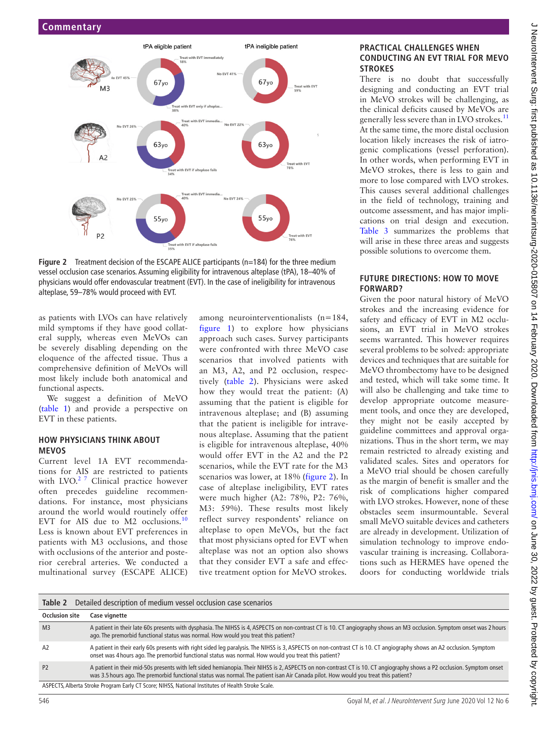

<span id="page-1-1"></span>**Figure 2** Treatment decision of the ESCAPE ALICE participants (n=184) for the three medium vessel occlusion case scenarios. Assuming eligibility for intravenous alteplase (tPA), 18–40% of physicians would offer endovascular treatment (EVT). In the case of ineligibility for intravenous alteplase, 59–78% would proceed with EVT.

as patients with LVOs can have relatively mild symptoms if they have good collateral supply, whereas even MeVOs can be severely disabling depending on the eloquence of the affected tissue. Thus a comprehensive definition of MeVOs will most likely include both anatomical and functional aspects.

We suggest a definition of MeVO ([table](#page-0-0) 1) and provide a perspective on EVT in these patients.

#### **How physicians think about MeVOs**

Current level 1A EVT recommendations for AIS are restricted to patients with LVO.<sup>2 7</sup> Clinical practice however often precedes guideline recommendations. For instance, most physicians around the world would routinely offer EVT for AIS due to M2 occlusions.<sup>[10](#page-2-13)</sup> Less is known about EVT preferences in patients with M3 occlusions, and those with occlusions of the anterior and posterior cerebral arteries. We conducted a multinational survey (ESCAPE ALICE) among neurointerventionalists (n=184, [figure](#page-0-1) 1) to explore how physicians approach such cases. Survey participants were confronted with three MeVO case scenarios that involved patients with an M3, A2, and P2 occlusion, respectively ([table](#page-1-0) 2). Physicians were asked how they would treat the patient: (A) assuming that the patient is eligible for intravenous alteplase; and (B) assuming that the patient is ineligible for intravenous alteplase. Assuming that the patient is eligible for intravenous alteplase, 40% would offer EVT in the A2 and the P2 scenarios, while the EVT rate for the M3 scenarios was lower, at 18% ([figure](#page-1-1) 2). In case of alteplase ineligibility, EVT rates were much higher (A2: 78%, P2: 76%, M3: 59%). These results most likely reflect survey respondents' reliance on alteplase to open MeVOs, but the fact that most physicians opted for EVT when alteplase was not an option also shows that they consider EVT a safe and effective treatment option for MeVO strokes.

#### **Practical challenges when conducting an EVT trial for MeVO strokes**

There is no doubt that successfully designing and conducting an EVT trial in MeVO strokes will be challenging, as the clinical deficits caused by MeVOs are generally less severe than in LVO strokes.<sup>[11](#page-2-14)</sup> At the same time, the more distal occlusion location likely increases the risk of iatrogenic complications (vessel perforation). In other words, when performing EVT in MeVO strokes, there is less to gain and more to lose compared with LVO strokes. This causes several additional challenges in the field of technology, training and outcome assessment, and has major implications on trial design and execution. [Table](#page-2-15) 3 summarizes the problems that will arise in these three areas and suggests possible solutions to overcome them.

### **Future directions: how to move forward?**

Given the poor natural history of MeVO strokes and the increasing evidence for safety and efficacy of EVT in M2 occlusions, an EVT trial in MeVO strokes seems warranted. This however requires several problems to be solved: appropriate devices and techniques that are suitable for MeVO thrombectomy have to be designed and tested, which will take some time. It will also be challenging and take time to develop appropriate outcome measurement tools, and once they are developed, they might not be easily accepted by guideline committees and approval organizations. Thus in the short term, we may remain restricted to already existing and validated scales. Sites and operators for a MeVO trial should be chosen carefully as the margin of benefit is smaller and the risk of complications higher compared with LVO strokes. However, none of these obstacles seem insurmountable. Several small MeVO suitable devices and catheters are already in development. Utilization of simulation technology to improve endovascular training is increasing. Collaborations such as HERMES have opened the doors for conducting worldwide trials

<span id="page-1-0"></span>

| Detailed description of medium vessel occlusion case scenarios<br>Table 2                          |                                                                                                                                                                                                                                                                                                               |  |  |
|----------------------------------------------------------------------------------------------------|---------------------------------------------------------------------------------------------------------------------------------------------------------------------------------------------------------------------------------------------------------------------------------------------------------------|--|--|
| <b>Occlusion site</b>                                                                              | Case vignette                                                                                                                                                                                                                                                                                                 |  |  |
| M <sub>3</sub>                                                                                     | A patient in their late 60s presents with dysphasia. The NIHSS is 4, ASPECTS on non-contrast CT is 10. CT angiography shows an M3 occlusion. Symptom onset was 2 hours<br>ago. The premorbid functional status was normal. How would you treat this patient?                                                  |  |  |
| A2                                                                                                 | A patient in their early 60s presents with right sided leg paralysis. The NIHSS is 3, ASPECTS on non-contrast CT is 10. CT angiography shows an A2 occlusion. Symptom<br>onset was 4 hours ago. The premorbid functional status was normal. How would you treat this patient?                                 |  |  |
| P <sub>2</sub>                                                                                     | A patient in their mid-50s presents with left sided hemianopia. Their NIHSS is 2, ASPECTS on non-contrast CT is 10. CT angiography shows a P2 occlusion. Symptom onset<br>was 3.5 hours ago. The premorbid functional status was normal. The patient isan Air Canada pilot. How would you treat this patient? |  |  |
| ASPECTS, Alberta Stroke Program Early CT Score; NIHSS, National Institutes of Health Stroke Scale. |                                                                                                                                                                                                                                                                                                               |  |  |